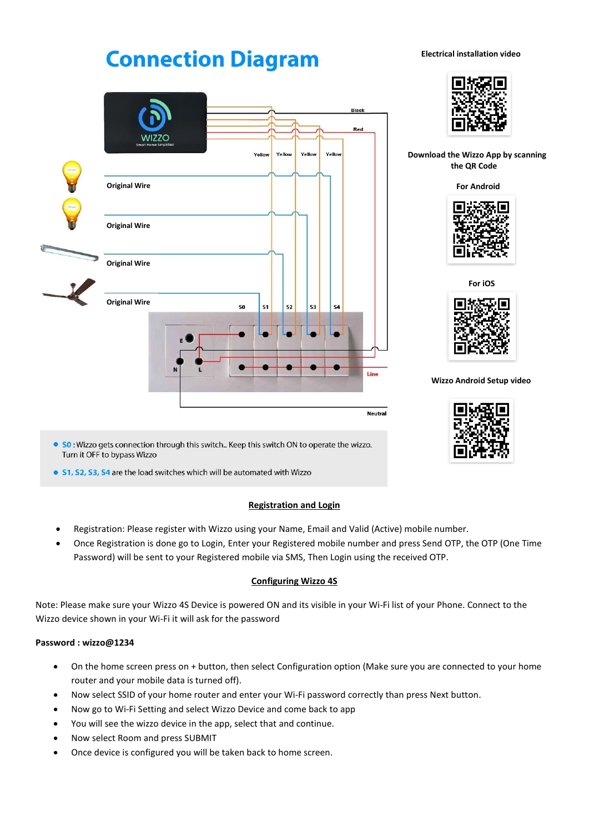# **Connection Diagram**

**Original Wire**

**WIZZO** 

**Original Wire**

**Original Wire**

**Original Wire**

 **Electrical installation video**



Black Red

> **Download the Wizzo App by scanning the QR Code**

> > **For Android**



 **For iOS**



 **Wizzo Android Setup video**



• SO: Wizzo gets connection through this switch.. Keep this switch ON to operate the wizzo. Turn it OFF to bypass Wizzo

so

 $s<sub>1</sub>$ 

 $s<sub>2</sub>$ 

 $\bullet$ 

53

**S4** 

Line

**Neutral** 

• S1, S2, S3, S4 are the load switches which will be automated with Wizzo

# **Registration and Login**

Yellow

Yello

Yell

- Registration: Please register with Wizzo using your Name, Email and Valid (Active) mobile number.
- Once Registration is done go to Login, Enter your Registered mobile number and press Send OTP, the OTP (One Time Password) will be sent to your Registered mobile via SMS, Then Login using the received OTP.

# **Configuring Wizzo 4S**

Note: Please make sure your Wizzo 4S Device is powered ON and its visible in your Wi-Fi list of your Phone. Connect to the Wizzo device shown in your Wi-Fi it will ask for the password

## **Password : wizzo@1234**

- On the home screen press on + button, then select Configuration option (Make sure you are connected to your home router and your mobile data is turned off).
- Now select SSID of your home router and enter your Wi-Fi password correctly than press Next button.
- Now go to Wi-Fi Setting and select Wizzo Device and come back to app
- You will see the wizzo device in the app, select that and continue.
- Now select Room and press SUBMIT
- Once device is configured you will be taken back to home screen.